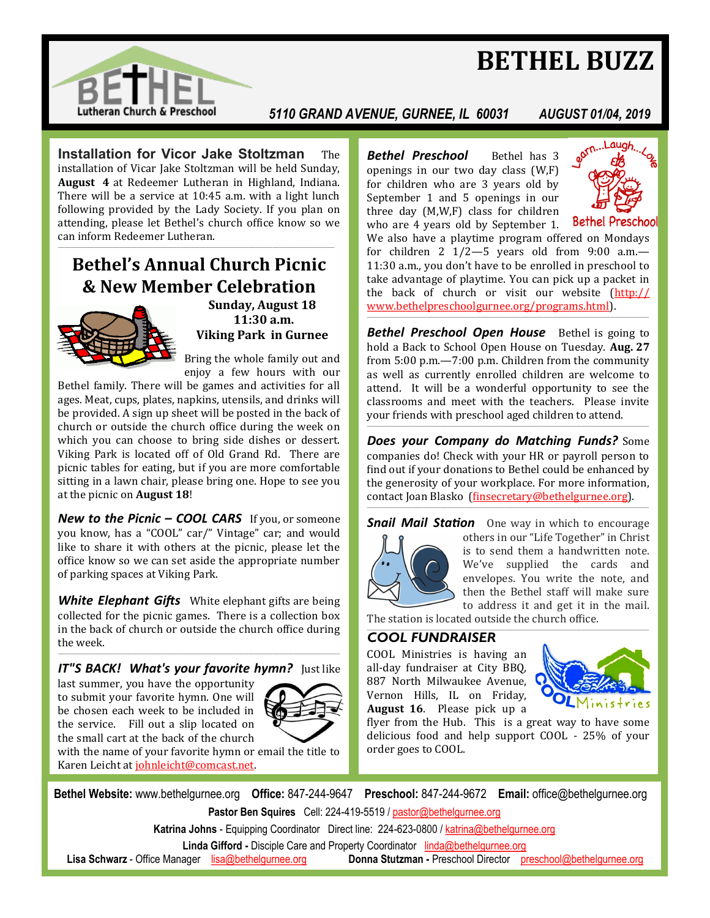# **BETHEL BUZZ**



#### *5110 GRAND AVENUE, GURNEE, IL 60031 AUGUST 01/04, 2019*

**Installation for Vicor Jake Stoltzman** The installation of Vicar Jake Stoltzman will be held Sunday. **August 4** at Redeemer Lutheran in Highland, Indiana. There will be a service at 10:45 a.m. with a light lunch following provided by the Lady Society. If you plan on attending, please let Bethel's church office know so we can inform Redeemer Lutheran. \_\_\_\_\_\_\_\_\_\_\_\_\_\_\_\_\_\_\_\_\_\_\_\_\_\_\_\_\_\_\_\_\_\_\_\_\_\_\_\_\_\_\_\_\_\_\_\_\_\_\_\_\_\_\_\_\_\_\_\_\_\_\_\_\_\_\_\_\_\_\_\_\_\_\_\_\_\_\_\_\_\_\_\_\_\_\_\_\_\_\_\_\_\_\_\_\_\_\_\_\_\_\_\_\_\_\_\_\_\_\_\_\_\_\_\_\_\_\_\_\_\_\_\_\_\_\_\_\_\_\_\_\_\_\_\_\_\_\_\_\_\_\_\_\_\_\_\_\_\_\_\_\_\_\_\_\_\_\_\_\_

## **Bethel's Annual Church Picnic & New Member Celebration**



**Sunday, August 18 11:30 a.m. Viking Park in Gurnee**

Bring the whole family out and enjoy a few hours with our

Bethel family. There will be games and activities for all ages. Meat, cups, plates, napkins, utensils, and drinks will be provided. A sign up sheet will be posted in the back of church or outside the church office during the week on which you can choose to bring side dishes or dessert. Viking Park is located off of Old Grand Rd. There are picnic tables for eating, but if you are more comfortable sitting in a lawn chair, please bring one. Hope to see you at the picnic on **August 18**!

*New to the Picnic – COOL CARS* If you, or someone you know, has a "COOL" car/" Vintage" car; and would like to share it with others at the picnic, please let the office know so we can set aside the appropriate number of parking spaces at Viking Park.

*White Elephant Gifts* White elephant gifts are being collected for the picnic games. There is a collection box in the back of church or outside the church office during the week.

#### \_\_\_\_\_\_\_\_\_\_\_\_\_\_\_\_\_\_\_\_\_\_\_\_\_\_\_\_\_\_\_\_\_\_\_\_\_\_\_\_\_\_\_\_\_\_\_\_\_\_\_\_\_\_\_\_\_\_\_\_\_\_\_\_\_\_\_\_\_\_\_\_\_\_\_\_\_\_\_\_\_\_\_\_\_\_\_\_\_\_\_\_\_\_\_\_\_\_\_\_\_\_\_\_\_\_\_\_\_\_\_\_\_\_\_\_\_\_\_\_\_\_\_\_\_\_\_\_\_\_\_\_\_\_\_\_\_\_\_\_\_\_\_\_\_\_\_\_\_\_\_\_\_\_\_\_\_\_\_\_\_\_\_\_ *IT"S BACK! What's your favorite hymn?* Just like

last summer, you have the opportunity to submit your favorite hymn. One will be chosen each week to be included in the service. Fill out a slip located on the small cart at the back of the church



with the name of your favorite hymn or email the title to Karen Leicht at [johnleicht@comcast.net.](mailto:johnleicht@comcast.net)

**Bethel Preschool** Bethel has 3 openings in our two day class (W,F) for children who are 3 years old by September 1 and 5 openings in our three day (M,W,F) class for children who are 4 years old by September 1.



**Bethel Preschool** 

We also have a playtime program offered on Mondays for children 2  $1/2 - 5$  years old from 9:00 a.m.-11:30 a.m., you don't have to be enrolled in preschool to take advantage of playtime. You can pick up a packet in the back of church or visit our website ([http:/](mailto:http://www.bethelpreschoolgurnee.org/programs.html)/ [www.bethelpreschoolgurnee.org/programs.html\).](mailto:www.bethelpreschoolgurnee.org/programs) \_\_\_\_\_\_\_\_\_\_\_\_\_\_\_\_\_\_\_\_\_\_\_\_\_\_\_\_\_\_\_\_\_\_\_\_\_\_\_\_\_\_\_\_\_\_\_\_\_\_\_\_\_\_\_\_\_\_\_\_\_\_\_\_\_\_\_\_\_\_\_\_\_\_\_\_\_\_\_\_\_\_\_\_\_\_\_\_\_\_\_\_\_\_\_\_\_\_\_\_\_\_\_\_\_\_\_\_\_\_\_\_\_\_\_\_\_\_\_\_\_\_\_\_\_\_\_\_\_\_\_\_\_\_\_\_\_\_\_\_\_\_\_\_\_\_\_\_\_\_\_\_\_\_\_\_\_\_\_\_\_\_\_\_

**Bethel Preschool Open House** Bethel is going to hold a Back to School Open House on Tuesday. **Aug. 27**  from 5:00 p.m.—7:00 p.m. Children from the community as well as currently enrolled children are welcome to attend. It will be a wonderful opportunity to see the classrooms and meet with the teachers. Please invite your friends with preschool aged children to attend. \_\_\_\_\_\_\_\_\_\_\_\_\_\_\_\_\_\_\_\_\_\_\_\_\_\_\_\_\_\_\_\_\_\_\_\_\_\_\_\_\_\_\_\_\_\_\_\_\_\_\_\_\_\_\_\_\_\_\_\_\_\_\_\_\_\_\_\_\_\_\_\_\_\_\_\_\_\_\_\_\_\_\_\_\_\_\_\_\_\_\_\_\_\_\_\_\_\_\_\_\_\_\_\_\_\_\_\_\_\_\_\_\_\_\_\_\_\_\_\_\_\_\_\_\_\_\_\_\_\_\_\_\_\_\_\_\_\_\_\_\_\_\_\_\_\_\_\_\_\_\_\_\_\_\_\_\_\_\_\_\_\_\_\_

*Does your Company do Matching Funds?* Some companies do! Check with your HR or payroll person to find out if your donations to Bethel could be enhanced by the generosity of your workplace. For more information, contact Joan Blasko ([finsecretary@bethelgurnee.org\)](mailto:finsecretary@bethelgurnee.org). \_\_\_\_\_\_\_\_\_\_\_\_\_\_\_\_\_\_\_\_\_\_\_\_\_\_\_\_\_\_\_\_\_\_\_\_\_\_\_\_\_\_\_\_\_\_\_\_\_\_\_\_\_\_\_\_\_\_\_\_\_\_\_\_\_\_\_\_\_\_\_\_\_\_\_\_\_\_\_\_\_\_\_\_\_\_\_\_\_\_\_\_\_\_\_\_\_\_\_\_\_\_\_\_\_\_\_\_\_\_\_\_\_\_\_\_\_\_\_\_\_\_\_\_\_\_\_\_\_\_\_\_\_\_\_\_\_\_\_\_\_\_\_\_\_\_\_\_\_\_\_\_\_\_\_\_\_\_\_\_\_\_\_\_





others in our "Life Together" in Christ is to send them a handwritten note. We've supplied the cards and envelopes. You write the note, and then the Bethel staff will make sure to address it and get it in the mail.

The station is located outside the church office. \_\_\_\_\_\_\_\_\_\_\_\_\_\_\_\_\_\_\_\_\_\_\_\_\_\_\_\_\_\_\_\_\_\_\_\_\_\_\_\_\_\_\_\_\_\_\_\_\_\_\_\_\_\_\_\_\_\_\_\_\_\_\_\_\_\_\_\_\_\_\_\_\_\_\_\_\_\_\_\_\_\_\_\_\_\_\_\_\_\_\_\_\_\_\_\_\_\_\_\_\_\_\_\_\_\_\_\_\_\_\_\_\_\_\_\_\_\_\_\_\_\_\_\_\_\_\_\_\_\_\_\_\_\_\_\_\_\_\_\_\_\_\_\_\_\_\_\_\_\_\_\_\_\_\_\_\_\_\_\_\_\_\_\_

#### *COOL FUNDRAISER*

COOL Ministries is having an all-day fundraiser at City BBQ, 887 North Milwaukee Avenue, Vernon Hills, IL on Friday, **August 16**. Please pick up a



flyer from the Hub. This is a great way to have some delicious food and help support COOL - 25% of your order goes to COOL.

**Bethel Website:** www.bethelgurnee.org **Office:** 847-244-9647 **Preschool:** 847-244-9672 **Email:** office@bethelgurnee.org **Pastor Ben Squires** Cell: 224-419-5519 / [pastor@bethelgurnee.org](mailto:pastor@bethelgurnee.org)

**Katrina Johns** - Equipping Coordinator Direct line: 224-623-0800 / [katrina@bethelgurnee.org](mailto:katrina@bethelgurnee.org) 

**Linda Gifford -** Disciple Care and Property Coordinator [linda@bethelgurnee.org](mailto:linda@bethelgurnee.org) 

 **Lisa Schwarz** - Office Manager [lisa@bethelgurnee.org](mailto:lisa@bethelgurnee.org) **Donna Stutzman -** Preschool Director [preschool@bethelgurnee.org](mailto:preschool@bethelgurnee.org)